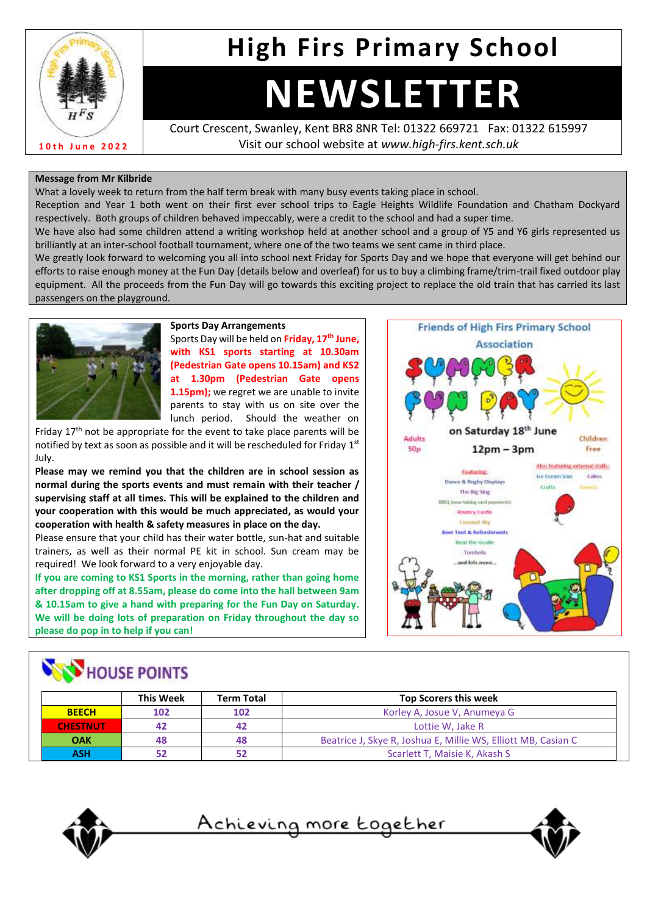

# **High Firs Primary School**

# **NEWSLETTER**

Court Crescent, Swanley, Kent BR8 8NR Tel: 01322 669721 Fax: 01322 615997 Visit our school website at *www.high-firs.kent.sch.uk*

#### **Message from Mr Kilbride**

What a lovely week to return from the half term break with many busy events taking place in school.

Reception and Year 1 both went on their first ever school trips to Eagle Heights Wildlife Foundation and Chatham Dockyard respectively. Both groups of children behaved impeccably, were a credit to the school and had a super time.

We have also had some children attend a writing workshop held at another school and a group of Y5 and Y6 girls represented us brilliantly at an inter-school football tournament, where one of the two teams we sent came in third place.

We greatly look forward to welcoming you all into school next Friday for Sports Day and we hope that everyone will get behind our efforts to raise enough money at the Fun Day (details below and overleaf) for us to buy a climbing frame/trim-trail fixed outdoor play equipment. All the proceeds from the Fun Day will go towards this exciting project to replace the old train that has carried its last passengers on the playground.



#### **Sports Day Arrangements** Sports Day will be held on **Friday, 17th June, with KS1 sports starting at 10.30am (Pedestrian Gate opens 10.15am) and KS2 at 1.30pm (Pedestrian Gate opens 1.15pm);** we regret we are unable to invite

parents to stay with us on site over the lunch period. Should the weather on

Friday  $17<sup>th</sup>$  not be appropriate for the event to take place parents will be notified by text as soon as possible and it will be rescheduled for Friday  $1<sup>st</sup>$ July.

**Please may we remind you that the children are in school session as normal during the sports events and must remain with their teacher / supervising staff at all times. This will be explained to the children and your cooperation with this would be much appreciated, as would your cooperation with health & safety measures in place on the day.** 

Please ensure that your child has their water bottle, sun-hat and suitable trainers, as well as their normal PE kit in school. Sun cream may be required! We look forward to a very enjoyable day.

**If you are coming to KS1 Sports in the morning, rather than going home after dropping off at 8.55am, please do come into the hall between 9am & 10.15am to give a hand with preparing for the Fun Day on Saturday. We will be doing lots of preparation on Friday throughout the day so please do pop in to help if you can!** 



## **NEW HOUSE POINTS**

|                 | <b>This Week</b> | <b>Term Total</b>                   | <b>Top Scorers this week</b>                                  |  |
|-----------------|------------------|-------------------------------------|---------------------------------------------------------------|--|
| <b>BEECH</b>    | 102              | 102<br>Korley A, Josue V, Anumeya G |                                                               |  |
| <b>CHESTNUT</b> | 42               | 42                                  | Lottie W. Jake R                                              |  |
| <b>OAK</b>      | 48               | 48                                  | Beatrice J, Skye R, Joshua E, Millie WS, Elliott MB, Casian C |  |
| ASH             |                  | 52                                  | Scarlett T, Maisie K, Akash S                                 |  |



<u>Achieving more together</u>

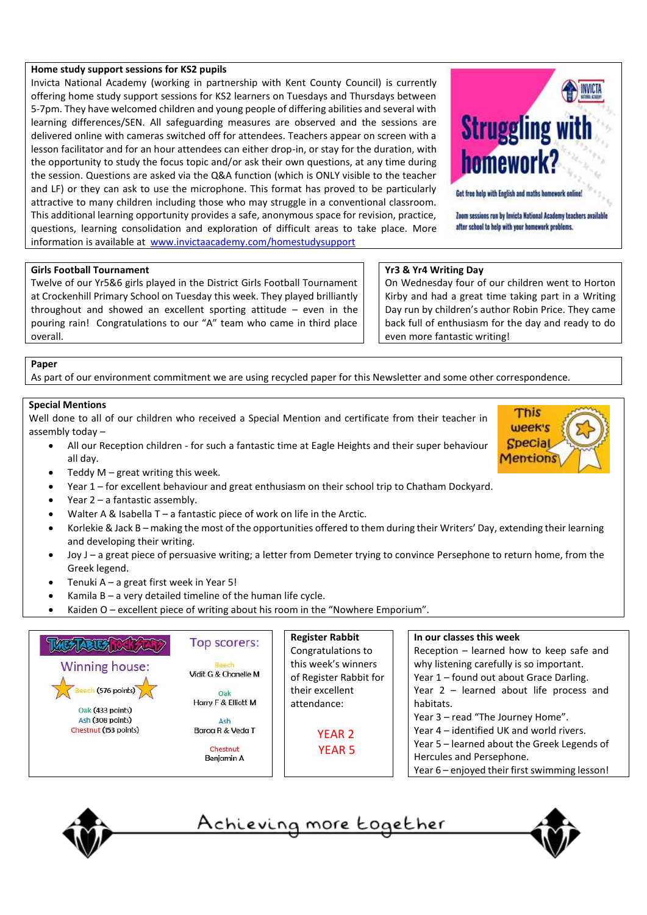#### **Home study support sessions for KS2 pupils**

Invicta National Academy (working in partnership with Kent County Council) is currently offering home study support sessions for KS2 learners on Tuesdays and Thursdays between 5-7pm. They have welcomed children and young people of differing abilities and several with learning differences/SEN. All safeguarding measures are observed and the sessions are delivered online with cameras switched off for attendees. Teachers appear on screen with a lesson facilitator and for an hour attendees can either drop-in, or stay for the duration, with the opportunity to study the focus topic and/or ask their own questions, at any time during the session. Questions are asked via the Q&A function (which is ONLY visible to the teacher and LF) or they can ask to use the microphone. This format has proved to be particularly attractive to many children including those who may struggle in a conventional classroom. This additional learning opportunity provides a safe, anonymous space for revision, practice, questions, learning consolidation and exploration of difficult areas to take place. More information is available at [www.invictaacademy.com/homestudysupport](http://www.invictaacademy.com/homestudysupport) 



Get free help with English and maths homework online!

Zoom sessions run by Invicta National Academy teachers available after school to help with your homework problems.

> This week's **Special Mentions**

#### **Girls Football Tournament**

Twelve of our Yr5&6 girls played in the District Girls Football Tournament at Crockenhill Primary School on Tuesday this week. They played brilliantly throughout and showed an excellent sporting attitude – even in the pouring rain! Congratulations to our "A" team who came in third place overall.

#### **Yr3 & Yr4 Writing Day**

On Wednesday four of our children went to Horton Kirby and had a great time taking part in a Writing Day run by children's author Robin Price. They came back full of enthusiasm for the day and ready to do even more fantastic writing!

#### **Paper**

As part of our environment commitment we are using recycled paper for this Newsletter and some other correspondence.

#### **Special Mentions**

Well done to all of our children who received a Special Mention and certificate from their teacher in assembly today –

- All our Reception children for such a fantastic time at Eagle Heights and their super behaviour all day.
	- Teddy  $M$  great writing this week.
- Year 1 for excellent behaviour and great enthusiasm on their school trip to Chatham Dockyard.
- Year 2 a fantastic assembly.
- Walter A & Isabella  $T a$  fantastic piece of work on life in the Arctic.
- Korlekie & Jack B making the most of the opportunities offered to them during their Writers' Day, extending their learning and developing their writing.
- Joy J a great piece of persuasive writing; a letter from Demeter trying to convince Persephone to return home, from the Greek legend.
- Tenuki  $A a$  great first week in Year 5!
- Kamila  $B a$  very detailed timeline of the human life cycle.
- Kaiden O excellent piece of writing about his room in the "Nowhere Emporium".





<u>Achieving more together</u>

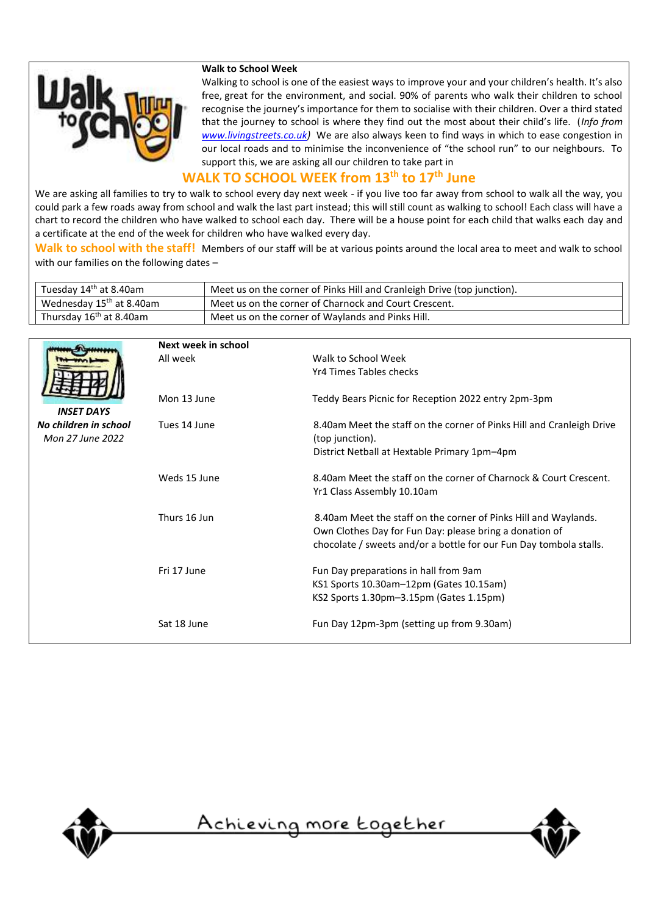

#### **Walk to School Week**

Walking to school is one of the easiest ways to improve your and your children's health. It's also free, great for the environment, and social. 90% of parents who walk their children to school recognise the journey's importance for them to socialise with their children. Over a third stated that the journey to school is where they find out the most about their child's life. (*Info from [www.livingstreets.co.uk\)](http://www.livingstreets.co.uk/)* We are also always keen to find ways in which to ease congestion in our local roads and to minimise the inconvenience of "the school run" to our neighbours. To support this, we are asking all our children to take part in

#### **WALK TO SCHOOL WEEK from 13th to 17th June**

We are asking all families to try to walk to school every day next week - if you live too far away from school to walk all the way, you could park a few roads away from school and walk the last part instead; this will still count as walking to school! Each class will have a chart to record the children who have walked to school each day. There will be a house point for each child that walks each day and a certificate at the end of the week for children who have walked every day.

**Walk to school with the staff!** Members of our staff will be at various points around the local area to meet and walk to school with our families on the following dates –

| Tuesday 14 <sup>th</sup> at 8.40am   | Meet us on the corner of Pinks Hill and Cranleigh Drive (top junction). |
|--------------------------------------|-------------------------------------------------------------------------|
| Wednesday 15 <sup>th</sup> at 8.40am | Meet us on the corner of Charnock and Court Crescent.                   |
| Thursday 16 <sup>th</sup> at 8.40am  | Meet us on the corner of Waylands and Pinks Hill.                       |

|                                           | Next week in school |                                                                                          |
|-------------------------------------------|---------------------|------------------------------------------------------------------------------------------|
|                                           | All week            | Walk to School Week                                                                      |
|                                           |                     | Yr4 Times Tables checks                                                                  |
|                                           | Mon 13 June         | Teddy Bears Picnic for Reception 2022 entry 2pm-3pm                                      |
| <b>INSET DAYS</b>                         |                     |                                                                                          |
| No children in school<br>Mon 27 June 2022 | Tues 14 June        | 8.40am Meet the staff on the corner of Pinks Hill and Cranleigh Drive<br>(top junction). |
|                                           |                     | District Netball at Hextable Primary 1pm-4pm                                             |
|                                           | Weds 15 June        | 8.40am Meet the staff on the corner of Charnock & Court Crescent.                        |
|                                           |                     | Yr1 Class Assembly 10.10am                                                               |
|                                           | Thurs 16 Jun        | 8.40am Meet the staff on the corner of Pinks Hill and Waylands.                          |
|                                           |                     | Own Clothes Day for Fun Day: please bring a donation of                                  |
|                                           |                     | chocolate / sweets and/or a bottle for our Fun Day tombola stalls.                       |
|                                           | Fri 17 June         | Fun Day preparations in hall from 9am                                                    |
|                                           |                     | KS1 Sports 10.30am-12pm (Gates 10.15am)                                                  |
|                                           |                     | KS2 Sports 1.30pm-3.15pm (Gates 1.15pm)                                                  |
|                                           | Sat 18 June         | Fun Day 12pm-3pm (setting up from 9.30am)                                                |
|                                           |                     |                                                                                          |



<u>Achieving more together</u>